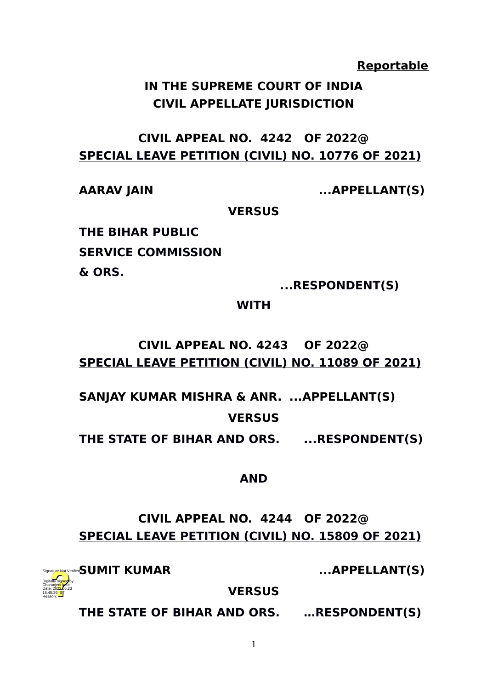**Reportable**

# **IN THE SUPREME COURT OF INDIA CIVIL APPELLATE JURISDICTION**

# **CIVIL APPEAL NO. 4242 OF 2022@ SPECIAL LEAVE PETITION (CIVIL) NO. 10776 OF 2021)**

**AARAV JAIN ...APPELLANT(S)**

**VERSUS**

**THE BIHAR PUBLIC SERVICE COMMISSION & ORS.**

 **...RESPONDENT(S)**

**WITH**

# **CIVIL APPEAL NO. 4243 OF 2022@ SPECIAL LEAVE PETITION (CIVIL) NO. 11089 OF 2021)**

**SANJAY KUMAR MISHRA & ANR. ...APPELLANT(S)**

**VERSUS**

THE STATE OF BIHAR AND ORS. ...RESPONDENT(S)

## **AND**

**CIVIL APPEAL NO. 4244 OF 2022@ SPECIAL LEAVE PETITION (CIVIL) NO. 15809 OF 2021)**

Digitally signed by Charanjeet kaur Date: 2022.05.23 16:45:36 IST  $\vec{S}$ UMIT KUMAR

Reason:

**SUMIT KUMAR ...APPELLANT(S)**

**VERSUS**

**THE STATE OF BIHAR AND ORS. …RESPONDENT(S)**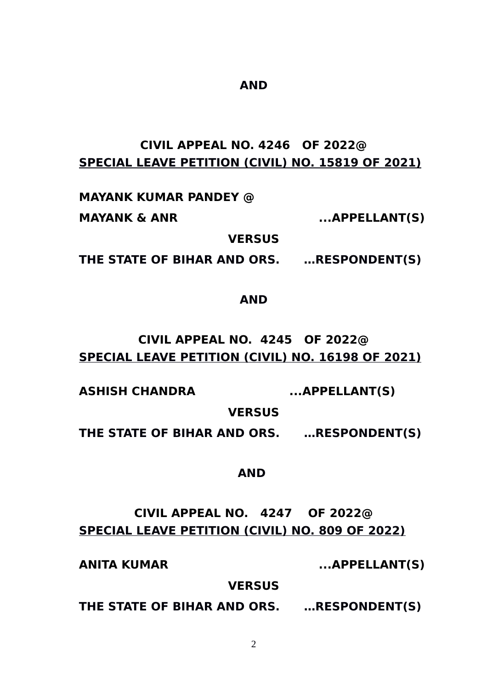#### **SPECIAL LEAVE PETITION (CIVIL) NO. 15819 OF 2021)**

**CIVIL APPEAL NO. 4246 OF 2022@**

**AND**

**MAYANK KUMAR PANDEY @** 

**MAYANK & ANR ...APPELLANT(S)**

**VERSUS**

**THE STATE OF BIHAR AND ORS. …RESPONDENT(S)**

**AND**

**CIVIL APPEAL NO. 4245 OF 2022@ SPECIAL LEAVE PETITION (CIVIL) NO. 16198 OF 2021)**

**ASHISH CHANDRA ...APPELLANT(S)**

**VERSUS**

**THE STATE OF BIHAR AND ORS. …RESPONDENT(S)**

**AND** 

**CIVIL APPEAL NO. 4247 OF 2022@ SPECIAL LEAVE PETITION (CIVIL) NO. 809 OF 2022)**

**ANITA KUMAR ...APPELLANT(S)**

**VERSUS**

**THE STATE OF BIHAR AND ORS. …RESPONDENT(S)**

 $\mathcal{P}$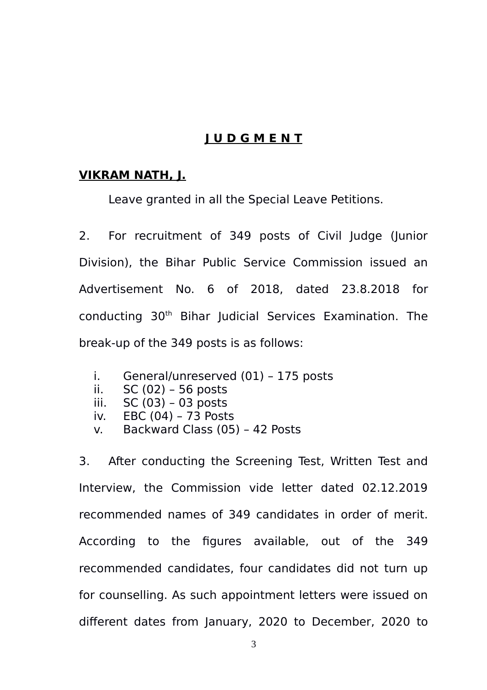## **J U D G M E N T**

### **VIKRAM NATH, J.**

Leave granted in all the Special Leave Petitions.

2. For recruitment of 349 posts of Civil Judge (Junior Division), the Bihar Public Service Commission issued an Advertisement No. 6 of 2018, dated 23.8.2018 for conducting 30th Bihar Judicial Services Examination. The break-up of the 349 posts is as follows:

- i. General/unreserved (01) 175 posts
- ii. SC (02) 56 posts
- iii. SC (03) 03 posts
- iv. EBC (04) 73 Posts
- v. Backward Class (05) 42 Posts

3. After conducting the Screening Test, Written Test and Interview, the Commission vide letter dated 02.12.2019 recommended names of 349 candidates in order of merit. According to the figures available, out of the 349 recommended candidates, four candidates did not turn up for counselling. As such appointment letters were issued on different dates from January, 2020 to December, 2020 to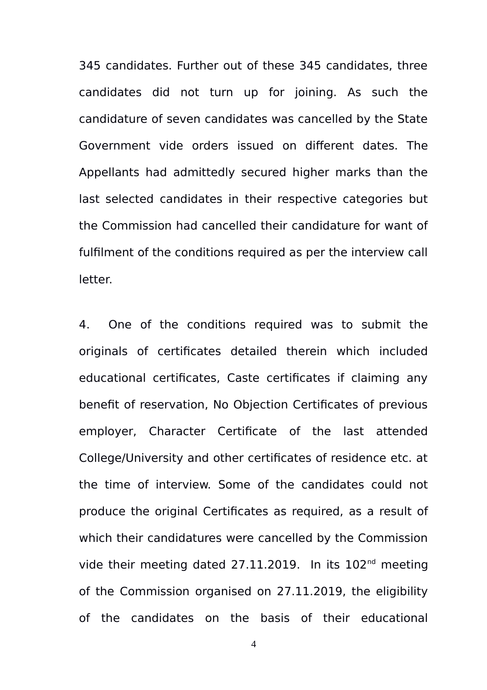345 candidates. Further out of these 345 candidates, three candidates did not turn up for joining. As such the candidature of seven candidates was cancelled by the State Government vide orders issued on different dates. The Appellants had admittedly secured higher marks than the last selected candidates in their respective categories but the Commission had cancelled their candidature for want of fulfilment of the conditions required as per the interview call letter.

4. One of the conditions required was to submit the originals of certificates detailed therein which included educational certificates, Caste certificates if claiming any benefit of reservation, No Objection Certificates of previous employer, Character Certificate of the last attended College/University and other certificates of residence etc. at the time of interview. Some of the candidates could not produce the original Certificates as required, as a result of which their candidatures were cancelled by the Commission vide their meeting dated  $27.11.2019$ . In its  $102<sup>nd</sup>$  meeting of the Commission organised on 27.11.2019, the eligibility of the candidates on the basis of their educational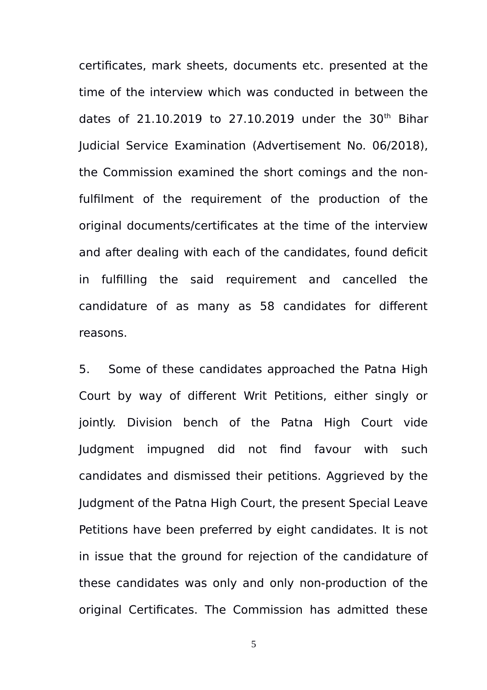certificates, mark sheets, documents etc. presented at the time of the interview which was conducted in between the dates of 21.10.2019 to 27.10.2019 under the  $30<sup>th</sup>$  Bihar Judicial Service Examination (Advertisement No. 06/2018), the Commission examined the short comings and the nonfulfilment of the requirement of the production of the original documents/certificates at the time of the interview and after dealing with each of the candidates, found deficit in fulfilling the said requirement and cancelled the candidature of as many as 58 candidates for different reasons.

5. Some of these candidates approached the Patna High Court by way of different Writ Petitions, either singly or jointly. Division bench of the Patna High Court vide Judgment impugned did not find favour with such candidates and dismissed their petitions. Aggrieved by the Judgment of the Patna High Court, the present Special Leave Petitions have been preferred by eight candidates. It is not in issue that the ground for rejection of the candidature of these candidates was only and only non-production of the original Certificates. The Commission has admitted these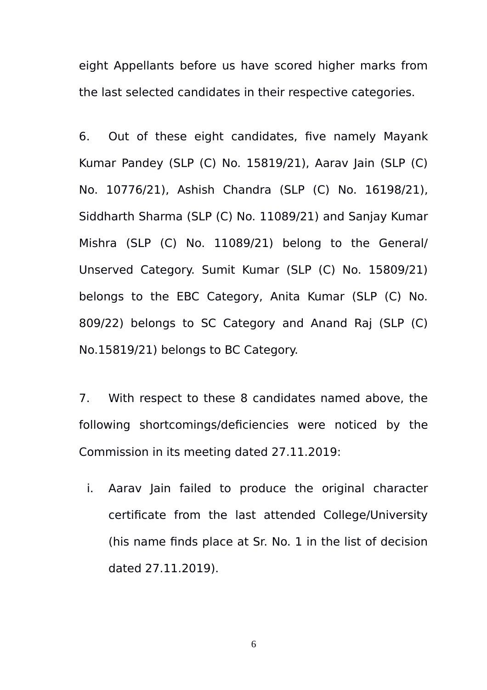eight Appellants before us have scored higher marks from the last selected candidates in their respective categories.

6. Out of these eight candidates, five namely Mayank Kumar Pandey (SLP (C) No. 15819/21), Aarav Jain (SLP (C) No. 10776/21), Ashish Chandra (SLP (C) No. 16198/21), Siddharth Sharma (SLP (C) No. 11089/21) and Sanjay Kumar Mishra (SLP (C) No. 11089/21) belong to the General/ Unserved Category. Sumit Kumar (SLP (C) No. 15809/21) belongs to the EBC Category, Anita Kumar (SLP (C) No. 809/22) belongs to SC Category and Anand Raj (SLP (C) No.15819/21) belongs to BC Category.

7. With respect to these 8 candidates named above, the following shortcomings/deficiencies were noticed by the Commission in its meeting dated 27.11.2019:

i. Aaray Jain failed to produce the original character certificate from the last attended College/University (his name finds place at Sr. No. 1 in the list of decision dated 27.11.2019).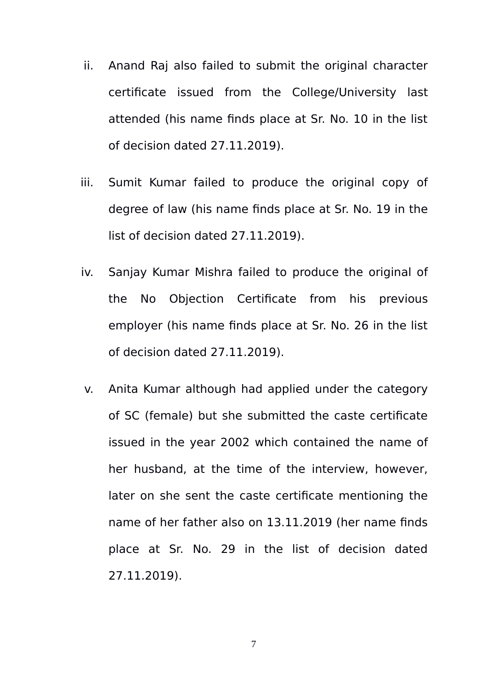- ii. Anand Raj also failed to submit the original character certificate issued from the College/University last attended (his name finds place at Sr. No. 10 in the list of decision dated 27.11.2019).
- iii. Sumit Kumar failed to produce the original copy of degree of law (his name finds place at Sr. No. 19 in the list of decision dated 27.11.2019).
- iv. Sanjay Kumar Mishra failed to produce the original of the No Objection Certificate from his previous employer (his name finds place at Sr. No. 26 in the list of decision dated 27.11.2019).
- v. Anita Kumar although had applied under the category of SC (female) but she submitted the caste certificate issued in the year 2002 which contained the name of her husband, at the time of the interview, however, later on she sent the caste certificate mentioning the name of her father also on 13.11.2019 (her name finds place at Sr. No. 29 in the list of decision dated 27.11.2019).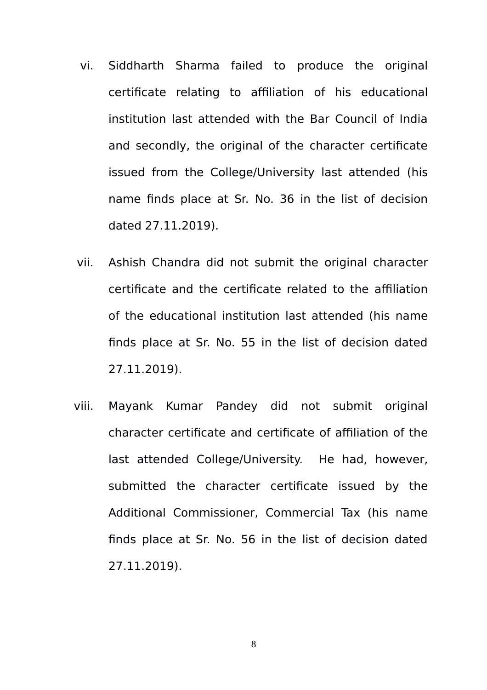- vi. Siddharth Sharma failed to produce the original certificate relating to affiliation of his educational institution last attended with the Bar Council of India and secondly, the original of the character certificate issued from the College/University last attended (his name finds place at Sr. No. 36 in the list of decision dated 27.11.2019).
- vii. Ashish Chandra did not submit the original character certificate and the certificate related to the affiliation of the educational institution last attended (his name finds place at Sr. No. 55 in the list of decision dated 27.11.2019).
- viii. Mayank Kumar Pandey did not submit original character certificate and certificate of affiliation of the last attended College/University. He had, however, submitted the character certificate issued by the Additional Commissioner, Commercial Tax (his name finds place at Sr. No. 56 in the list of decision dated 27.11.2019).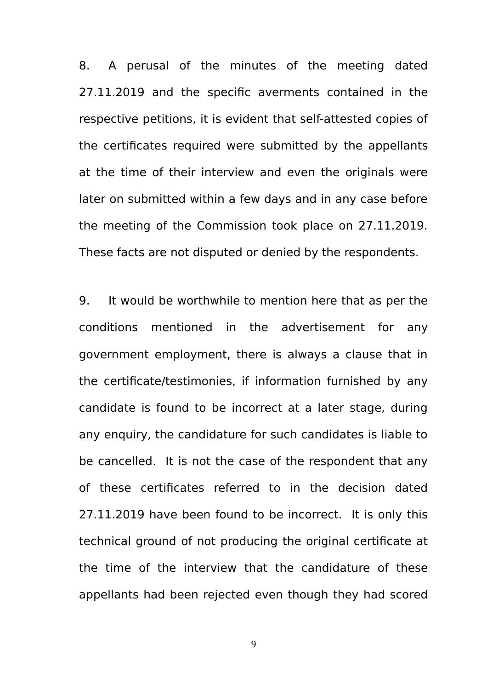8. A perusal of the minutes of the meeting dated 27.11.2019 and the specific averments contained in the respective petitions, it is evident that self-attested copies of the certificates required were submitted by the appellants at the time of their interview and even the originals were later on submitted within a few days and in any case before the meeting of the Commission took place on 27.11.2019. These facts are not disputed or denied by the respondents.

9. It would be worthwhile to mention here that as per the conditions mentioned in the advertisement for any government employment, there is always a clause that in the certificate/testimonies, if information furnished by any candidate is found to be incorrect at a later stage, during any enquiry, the candidature for such candidates is liable to be cancelled. It is not the case of the respondent that any of these certificates referred to in the decision dated 27.11.2019 have been found to be incorrect. It is only this technical ground of not producing the original certificate at the time of the interview that the candidature of these appellants had been rejected even though they had scored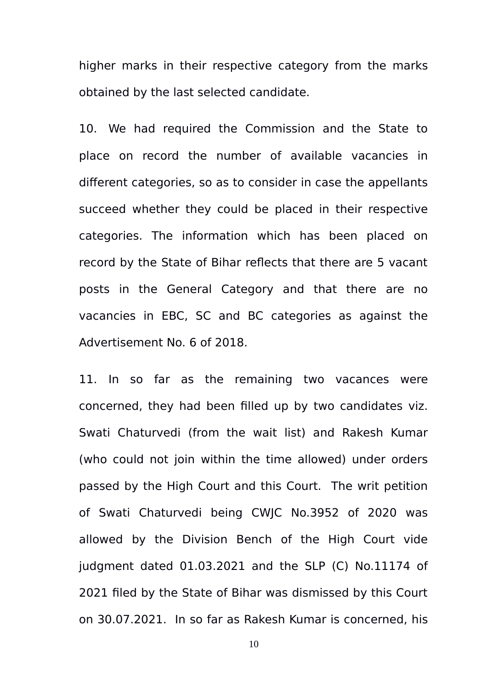higher marks in their respective category from the marks obtained by the last selected candidate.

10. We had required the Commission and the State to place on record the number of available vacancies in different categories, so as to consider in case the appellants succeed whether they could be placed in their respective categories. The information which has been placed on record by the State of Bihar reflects that there are 5 vacant posts in the General Category and that there are no vacancies in EBC, SC and BC categories as against the Advertisement No. 6 of 2018.

11. In so far as the remaining two vacances were concerned, they had been filled up by two candidates viz. Swati Chaturvedi (from the wait list) and Rakesh Kumar (who could not join within the time allowed) under orders passed by the High Court and this Court. The writ petition of Swati Chaturvedi being CWJC No.3952 of 2020 was allowed by the Division Bench of the High Court vide judgment dated 01.03.2021 and the SLP (C) No.11174 of 2021 filed by the State of Bihar was dismissed by this Court on 30.07.2021. In so far as Rakesh Kumar is concerned, his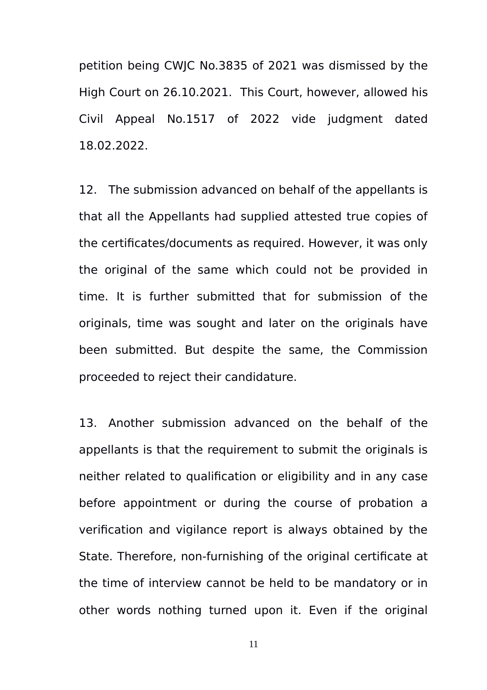petition being CWJC No.3835 of 2021 was dismissed by the High Court on 26.10.2021. This Court, however, allowed his Civil Appeal No.1517 of 2022 vide judgment dated 18.02.2022.

12. The submission advanced on behalf of the appellants is that all the Appellants had supplied attested true copies of the certificates/documents as required. However, it was only the original of the same which could not be provided in time. It is further submitted that for submission of the originals, time was sought and later on the originals have been submitted. But despite the same, the Commission proceeded to reject their candidature.

13. Another submission advanced on the behalf of the appellants is that the requirement to submit the originals is neither related to qualification or eligibility and in any case before appointment or during the course of probation a verification and vigilance report is always obtained by the State. Therefore, non-furnishing of the original certificate at the time of interview cannot be held to be mandatory or in other words nothing turned upon it. Even if the original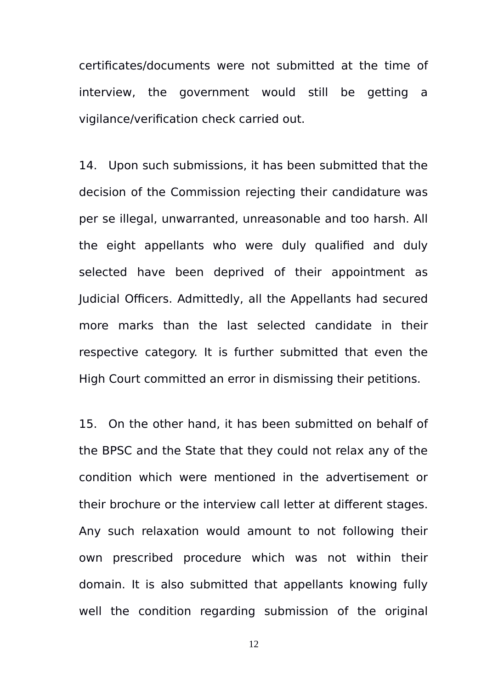certificates/documents were not submitted at the time of interview, the government would still be getting a vigilance/verification check carried out.

14. Upon such submissions, it has been submitted that the decision of the Commission rejecting their candidature was per se illegal, unwarranted, unreasonable and too harsh. All the eight appellants who were duly qualified and duly selected have been deprived of their appointment as Judicial Officers. Admittedly, all the Appellants had secured more marks than the last selected candidate in their respective category. It is further submitted that even the High Court committed an error in dismissing their petitions.

15. On the other hand, it has been submitted on behalf of the BPSC and the State that they could not relax any of the condition which were mentioned in the advertisement or their brochure or the interview call letter at different stages. Any such relaxation would amount to not following their own prescribed procedure which was not within their domain. It is also submitted that appellants knowing fully well the condition regarding submission of the original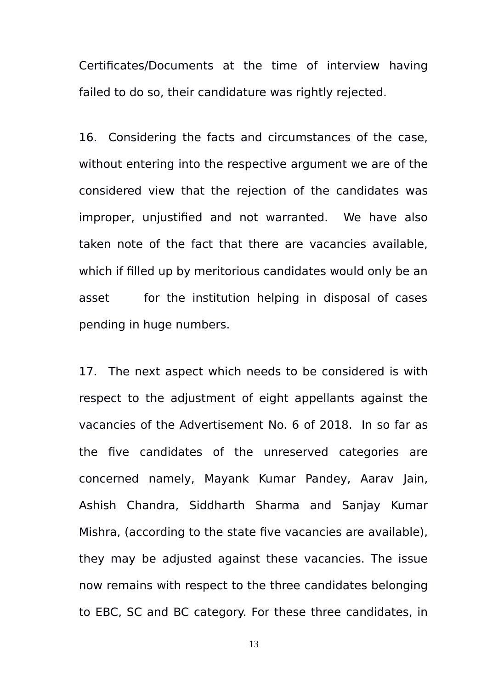Certificates/Documents at the time of interview having failed to do so, their candidature was rightly rejected.

16. Considering the facts and circumstances of the case, without entering into the respective argument we are of the considered view that the rejection of the candidates was improper, unjustified and not warranted. We have also taken note of the fact that there are vacancies available, which if filled up by meritorious candidates would only be an asset for the institution helping in disposal of cases pending in huge numbers.

17. The next aspect which needs to be considered is with respect to the adjustment of eight appellants against the vacancies of the Advertisement No. 6 of 2018. In so far as the five candidates of the unreserved categories are concerned namely, Mayank Kumar Pandey, Aarav Jain, Ashish Chandra, Siddharth Sharma and Sanjay Kumar Mishra, (according to the state five vacancies are available), they may be adjusted against these vacancies. The issue now remains with respect to the three candidates belonging to EBC, SC and BC category. For these three candidates, in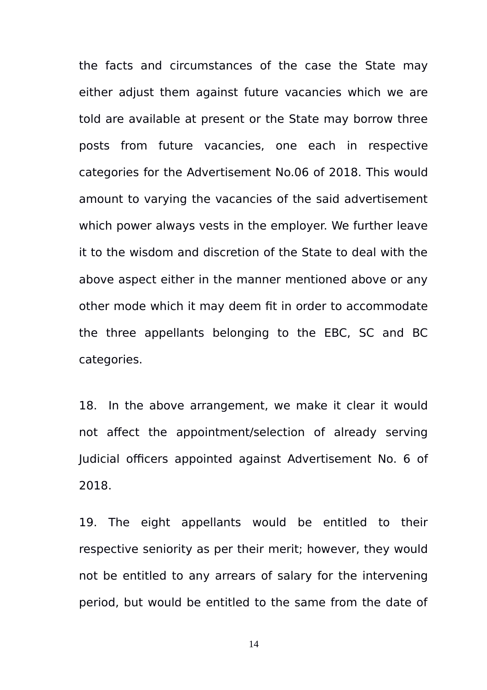the facts and circumstances of the case the State may either adjust them against future vacancies which we are told are available at present or the State may borrow three posts from future vacancies, one each in respective categories for the Advertisement No.06 of 2018. This would amount to varying the vacancies of the said advertisement which power always vests in the employer. We further leave it to the wisdom and discretion of the State to deal with the above aspect either in the manner mentioned above or any other mode which it may deem fit in order to accommodate the three appellants belonging to the EBC, SC and BC categories.

18. In the above arrangement, we make it clear it would not affect the appointment/selection of already serving Judicial officers appointed against Advertisement No. 6 of 2018.

19. The eight appellants would be entitled to their respective seniority as per their merit; however, they would not be entitled to any arrears of salary for the intervening period, but would be entitled to the same from the date of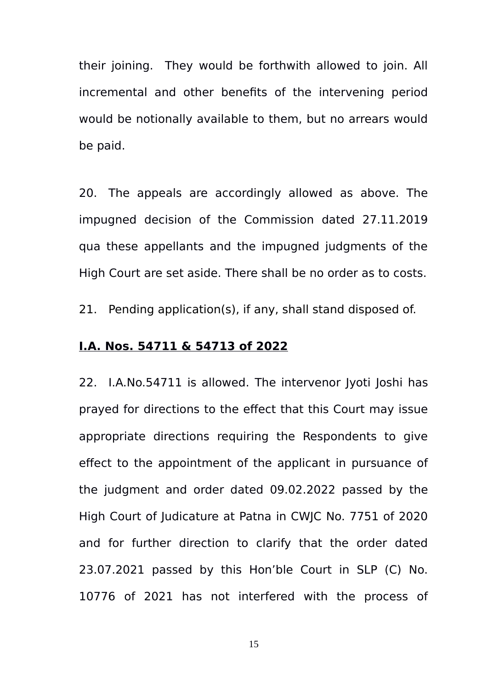their joining. They would be forthwith allowed to join. All incremental and other benefits of the intervening period would be notionally available to them, but no arrears would be paid.

20. The appeals are accordingly allowed as above. The impugned decision of the Commission dated 27.11.2019 qua these appellants and the impugned judgments of the High Court are set aside. There shall be no order as to costs.

21. Pending application(s), if any, shall stand disposed of.

#### **I.A. Nos. 54711 & 54713 of 2022**

22. I.A.No.54711 is allowed. The intervenor Jyoti Joshi has prayed for directions to the effect that this Court may issue appropriate directions requiring the Respondents to give effect to the appointment of the applicant in pursuance of the judgment and order dated 09.02.2022 passed by the High Court of Judicature at Patna in CWJC No. 7751 of 2020 and for further direction to clarify that the order dated 23.07.2021 passed by this Hon'ble Court in SLP (C) No. 10776 of 2021 has not interfered with the process of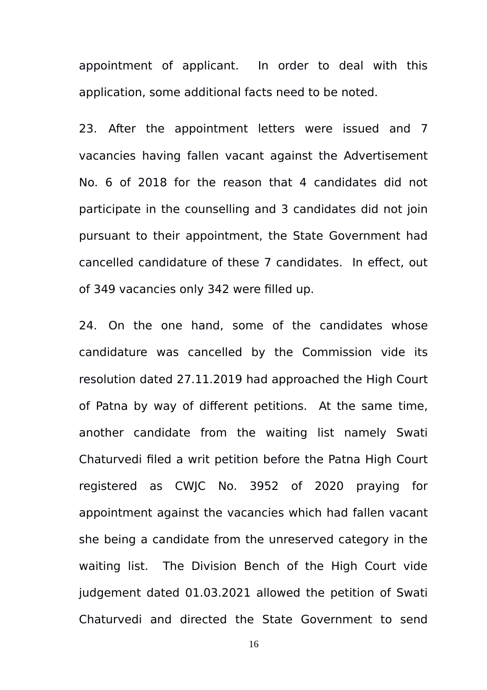appointment of applicant. In order to deal with this application, some additional facts need to be noted.

23. After the appointment letters were issued and 7 vacancies having fallen vacant against the Advertisement No. 6 of 2018 for the reason that 4 candidates did not participate in the counselling and 3 candidates did not join pursuant to their appointment, the State Government had cancelled candidature of these 7 candidates. In effect, out of 349 vacancies only 342 were filled up.

24. On the one hand, some of the candidates whose candidature was cancelled by the Commission vide its resolution dated 27.11.2019 had approached the High Court of Patna by way of different petitions. At the same time, another candidate from the waiting list namely Swati Chaturvedi filed a writ petition before the Patna High Court registered as CWJC No. 3952 of 2020 praying for appointment against the vacancies which had fallen vacant she being a candidate from the unreserved category in the waiting list. The Division Bench of the High Court vide judgement dated 01.03.2021 allowed the petition of Swati Chaturvedi and directed the State Government to send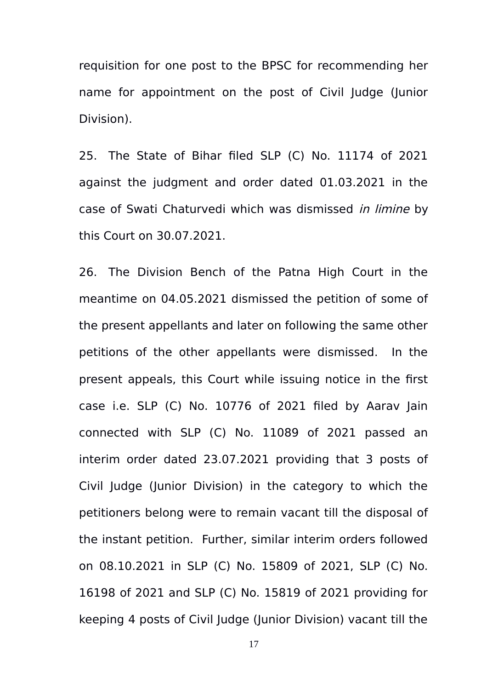requisition for one post to the BPSC for recommending her name for appointment on the post of Civil Judge (Junior Division).

25. The State of Bihar filed SLP (C) No. 11174 of 2021 against the judgment and order dated 01.03.2021 in the case of Swati Chaturvedi which was dismissed in limine by this Court on 30.07.2021.

26. The Division Bench of the Patna High Court in the meantime on 04.05.2021 dismissed the petition of some of the present appellants and later on following the same other petitions of the other appellants were dismissed. In the present appeals, this Court while issuing notice in the first case i.e. SLP (C) No. 10776 of 2021 filed by Aarav Jain connected with SLP (C) No. 11089 of 2021 passed an interim order dated 23.07.2021 providing that 3 posts of Civil Judge (Junior Division) in the category to which the petitioners belong were to remain vacant till the disposal of the instant petition. Further, similar interim orders followed on 08.10.2021 in SLP (C) No. 15809 of 2021, SLP (C) No. 16198 of 2021 and SLP (C) No. 15819 of 2021 providing for keeping 4 posts of Civil Judge (Junior Division) vacant till the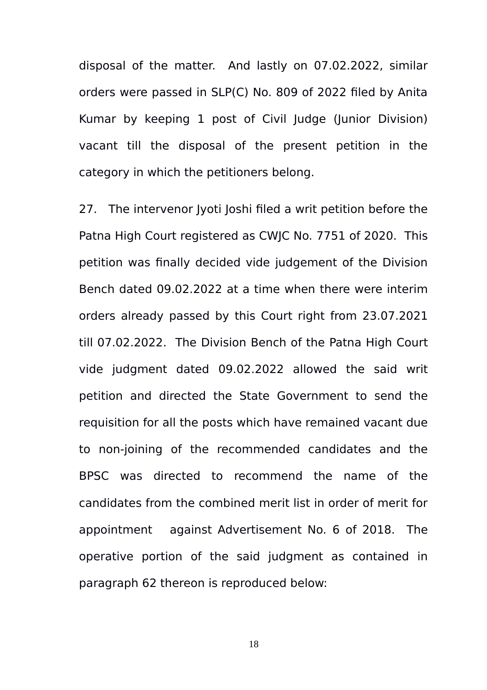disposal of the matter. And lastly on 07.02.2022, similar orders were passed in SLP(C) No. 809 of 2022 filed by Anita Kumar by keeping 1 post of Civil Judge (Junior Division) vacant till the disposal of the present petition in the category in which the petitioners belong.

27. The intervenor Jyoti Joshi filed a writ petition before the Patna High Court registered as CWJC No. 7751 of 2020. This petition was finally decided vide judgement of the Division Bench dated 09.02.2022 at a time when there were interim orders already passed by this Court right from 23.07.2021 till 07.02.2022. The Division Bench of the Patna High Court vide judgment dated 09.02.2022 allowed the said writ petition and directed the State Government to send the requisition for all the posts which have remained vacant due to non-joining of the recommended candidates and the BPSC was directed to recommend the name of the candidates from the combined merit list in order of merit for appointment against Advertisement No. 6 of 2018. The operative portion of the said judgment as contained in paragraph 62 thereon is reproduced below: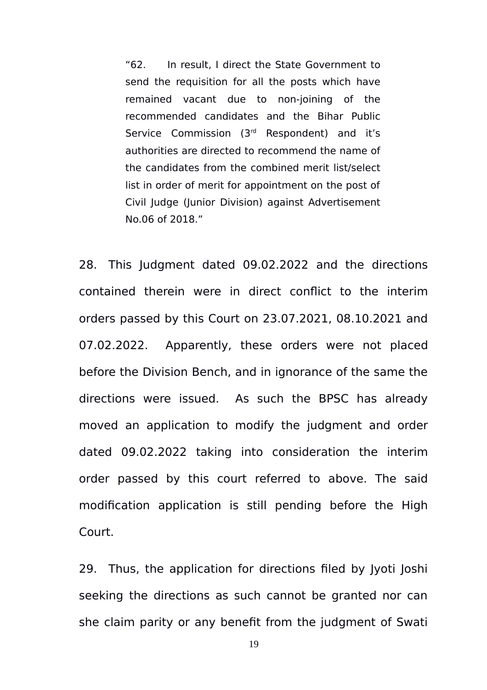"62. In result, I direct the State Government to send the requisition for all the posts which have remained vacant due to non-joining of the recommended candidates and the Bihar Public Service Commission (3<sup>rd</sup> Respondent) and it's authorities are directed to recommend the name of the candidates from the combined merit list/select list in order of merit for appointment on the post of Civil Judge (Junior Division) against Advertisement No.06 of 2018."

28. This Judgment dated 09.02.2022 and the directions contained therein were in direct conflict to the interim orders passed by this Court on 23.07.2021, 08.10.2021 and 07.02.2022. Apparently, these orders were not placed before the Division Bench, and in ignorance of the same the directions were issued. As such the BPSC has already moved an application to modify the judgment and order dated 09.02.2022 taking into consideration the interim order passed by this court referred to above. The said modification application is still pending before the High Court.

29. Thus, the application for directions filed by Jyoti Joshi seeking the directions as such cannot be granted nor can she claim parity or any benefit from the judgment of Swati